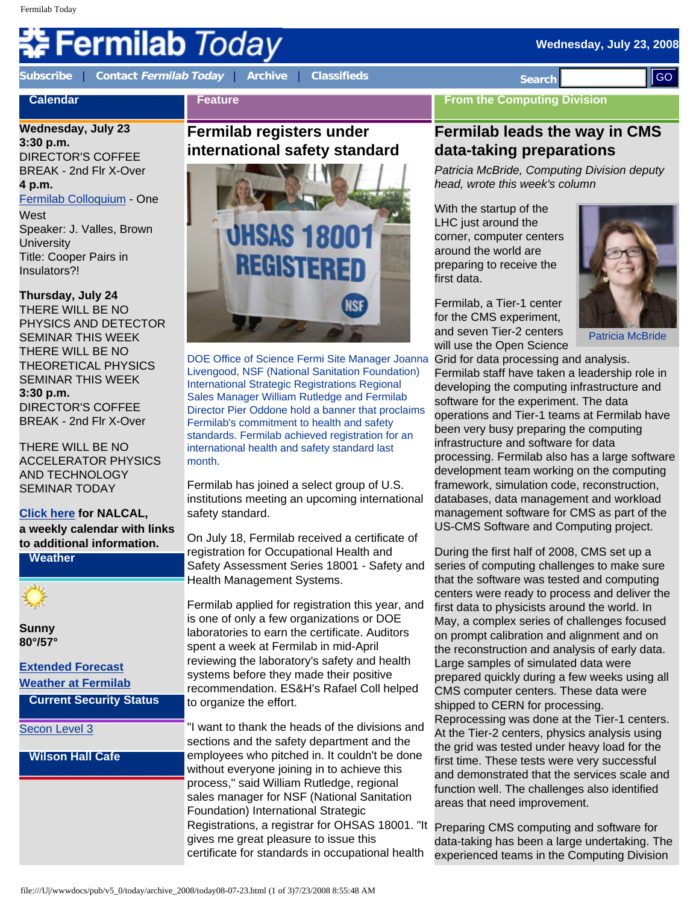# Fermilab *Today*

**[Subscribe](http://www.fnal.gov/pub/today/subscription.html)** | **Contact [Fermilab Today](mailto:today@fnal.gov)** | **[Archive](http://www.fnal.gov/pub/today/archive.html)** | **[Classifieds](http://www.fnal.gov/pub/today/classifieds.html) Search** 

**Feature**

# **Calendar**

**Wednesday, July 23**

**3:30 p.m.** DIRECTOR'S COFFEE BREAK - 2nd Flr X-Over **4 p.m.**

[Fermilab Colloquium](http://www-ppd.fnal.gov/EPPOffice-w/colloq/colloq.html) - One **West** 

Speaker: J. Valles, Brown **University** Title: Cooper Pairs in Insulators?!

**Thursday, July 24** THERE WILL BE NO PHYSICS AND DETECTOR SEMINAR THIS WEEK

THERE WILL BE NO THEORETICAL PHYSICS SEMINAR THIS WEEK **3:30 p.m.**  DIRECTOR'S COFFEE BREAK - 2nd Flr X-Over

THERE WILL BE NO ACCELERATOR PHYSICS AND TECHNOLOGY SEMINAR TODAY

## **[Click here](http://www.fnal.gov/directorate/nalcal/nalcal07_21_08.html) for NALCAL,**

**a weekly calendar with links to additional information.**

**Weather**

**Sunny 80°/57°**

# **[Extended Forecast](http://forecast.weather.gov/MapClick.php?CityName=Batavia&state=IL&site=LOT) [Weather at Fermilab](http://www-esh.fnal.gov/pls/default/weather.html)**

**Current Security Status**

#### [Secon Level 3](http://www.fnal.gov/pub/about/public_affairs/currentstatus.html)

### **Wilson Hall Cafe**

# **Fermilab registers under international safety standard**



DOE Office of Science Fermi Site Manager Joanna Livengood, NSF (National Sanitation Foundation) International Strategic Registrations Regional Sales Manager William Rutledge and Fermilab Director Pier Oddone hold a banner that proclaims Fermilab's commitment to health and safety standards. Fermilab achieved registration for an international health and safety standard last month.

Fermilab has joined a select group of U.S. institutions meeting an upcoming international safety standard.

On July 18, Fermilab received a certificate of registration for Occupational Health and Safety Assessment Series 18001 - Safety and Health Management Systems.

Fermilab applied for registration this year, and is one of only a few organizations or DOE laboratories to earn the certificate. Auditors spent a week at Fermilab in mid-April reviewing the laboratory's safety and health systems before they made their positive recommendation. ES&H's Rafael Coll helped to organize the effort.

"I want to thank the heads of the divisions and sections and the safety department and the employees who pitched in. It couldn't be done without everyone joining in to achieve this process," said William Rutledge, regional sales manager for NSF (National Sanitation Foundation) International Strategic Registrations, a registrar for OHSAS 18001. "It Preparing CMS computing and software for gives me great pleasure to issue this certificate for standards in occupational health

# **From the Computing Division**

# **Fermilab leads the way in CMS data-taking preparations**

*Patricia McBride, Computing Division deputy head, wrote this week's column*

With the startup of the LHC just around the corner, computer centers around the world are preparing to receive the first data.

Fermilab, a Tier-1 center for the CMS experiment, and seven Tier-2 centers will use the Open Science



Patricia McBride

Grid for data processing and analysis. Fermilab staff have taken a leadership role in developing the computing infrastructure and software for the experiment. The data operations and Tier-1 teams at Fermilab have been very busy preparing the computing infrastructure and software for data processing. Fermilab also has a large software development team working on the computing framework, simulation code, reconstruction, databases, data management and workload management software for CMS as part of the US-CMS Software and Computing project.

During the first half of 2008, CMS set up a series of computing challenges to make sure that the software was tested and computing centers were ready to process and deliver the first data to physicists around the world. In May, a complex series of challenges focused on prompt calibration and alignment and on the reconstruction and analysis of early data. Large samples of simulated data were prepared quickly during a few weeks using all CMS computer centers. These data were shipped to CERN for processing. Reprocessing was done at the Tier-1 centers. At the Tier-2 centers, physics analysis using the grid was tested under heavy load for the first time. These tests were very successful and demonstrated that the services scale and function well. The challenges also identified areas that need improvement. Figure 2008. The method is a strong of the strong of the strong of the strong of the strong of the strong of the strong archives the strong of the strong of the strong of the strong of the strong of the strong of the stro

data-taking has been a large undertaking. The experienced teams in the Computing Division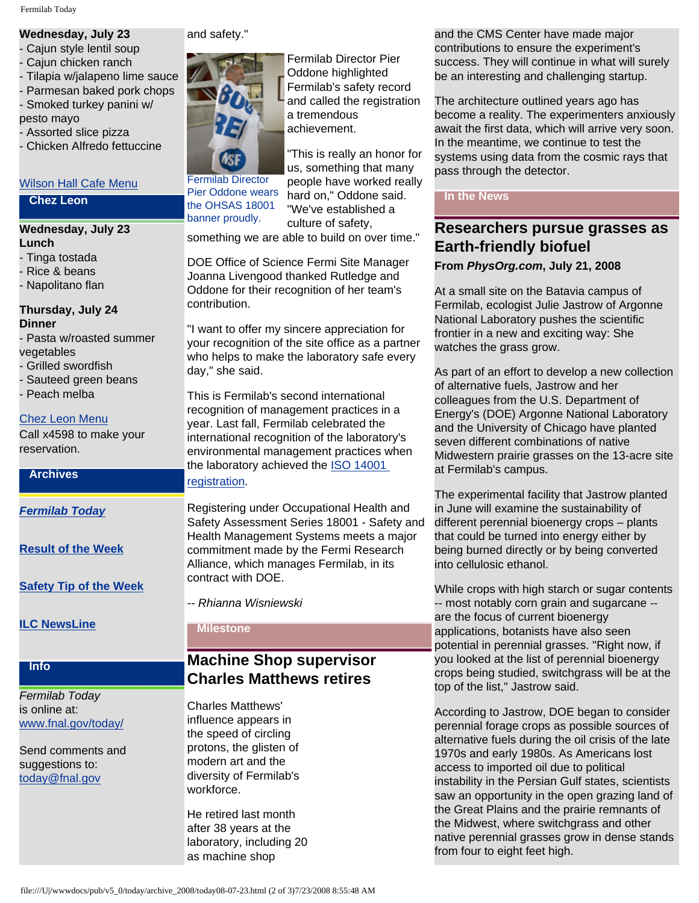# **Wednesday, July 23**

- Cajun style lentil soup
- Cajun chicken ranch
- Tilapia w/jalapeno lime sauce
- Parmesan baked pork chops
- Smoked turkey panini w/

pesto mayo

- Assorted slice pizza
- Chicken Alfredo fettuccine

#### [Wilson Hall Cafe Menu](http://bss.fnal.gov/cafe/index.html)

#### **Chez Leon**

#### **Wednesday, July 23 Lunch**

- Tinga tostada
- Rice & beans
- Napolitano flan

#### **Thursday, July 24 Dinner**

- Pasta w/roasted summer vegetables
- Grilled swordfish
- Sauteed green beans
- Peach melba

#### [Chez Leon Menu](http://bss.fnal.gov/chezleon/july.html)

Call x4598 to make your reservation.

#### **Archives**

*[Fermilab Today](http://www.fnal.gov/pub/today/archive.html)*

**[Result of the Week](http://www.fnal.gov/pub/today/resultoftheweek/index.html)**

**[Safety Tip of the Week](http://www.fnal.gov/pub/today/safety/)**

**[ILC NewsLine](http://www.linearcollider.org/newsline/archive/index.html)**

### **Info**

#### *Fermilab Today* is online at: [www.fnal.gov/today/](http://www.fnal.gov/today/)

Send comments and suggestions to: [today@fnal.gov](mailto:today@fnal.gov)

#### and safety."



Fermilab Director Pier Oddone wears the OHSAS 18001 banner proudly.

Fermilab Director Pier Oddone highlighted Fermilab's safety record and called the registration a tremendous achievement.

"This is really an honor for us, something that many people have worked really hard on," Oddone said. "We've established a culture of safety,

something we are able to build on over time."

DOE Office of Science Fermi Site Manager Joanna Livengood thanked Rutledge and Oddone for their recognition of her team's contribution.

"I want to offer my sincere appreciation for your recognition of the site office as a partner who helps to make the laboratory safe every day," she said.

This is Fermilab's second international recognition of management practices in a year. Last fall, Fermilab celebrated the international recognition of the laboratory's environmental management practices when the laboratory achieved the [ISO 14001](http://www.fnal.gov/pub/today/archive_2007/today07-10-15.html) 

[registration](http://www.fnal.gov/pub/today/archive_2007/today07-10-15.html).

Registering under Occupational Health and Safety Assessment Series 18001 - Safety and Health Management Systems meets a major commitment made by the Fermi Research Alliance, which manages Fermilab, in its contract with DOE.

*-- Rhianna Wisniewski*

#### **Milestone**

# **Machine Shop supervisor Charles Matthews retires**

Charles Matthews' influence appears in the speed of circling protons, the glisten of modern art and the diversity of Fermilab's workforce.

He retired last month after 38 years at the laboratory, including 20 as machine shop

and the CMS Center have made major contributions to ensure the experiment's success. They will continue in what will surely be an interesting and challenging startup.

The architecture outlined years ago has become a reality. The experimenters anxiously await the first data, which will arrive very soon. In the meantime, we continue to test the systems using data from the cosmic rays that pass through the detector.

#### **In the News**

# **Researchers pursue grasses as Earth-friendly biofuel**

**From** *PhysOrg.com***, July 21, 2008**

At a small site on the Batavia campus of Fermilab, ecologist Julie Jastrow of Argonne National Laboratory pushes the scientific frontier in a new and exciting way: She watches the grass grow.

As part of an effort to develop a new collection of alternative fuels, Jastrow and her colleagues from the U.S. Department of Energy's (DOE) Argonne National Laboratory and the University of Chicago have planted seven different combinations of native Midwestern prairie grasses on the 13-acre site at Fermilab's campus.

The experimental facility that Jastrow planted in June will examine the sustainability of different perennial bioenergy crops – plants that could be turned into energy either by being burned directly or by being converted into cellulosic ethanol.

While crops with high starch or sugar contents -- most notably corn grain and sugarcane - are the focus of current bioenergy applications, botanists have also seen potential in perennial grasses. "Right now, if you looked at the list of perennial bioenergy crops being studied, switchgrass will be at the top of the list," Jastrow said.

According to Jastrow, DOE began to consider perennial forage crops as possible sources of alternative fuels during the oil crisis of the late 1970s and early 1980s. As Americans lost access to imported oil due to political instability in the Persian Gulf states, scientists saw an opportunity in the open grazing land of the Great Plains and the prairie remnants of the Midwest, where switchgrass and other native perennial grasses grow in dense stands from four to eight feet high.